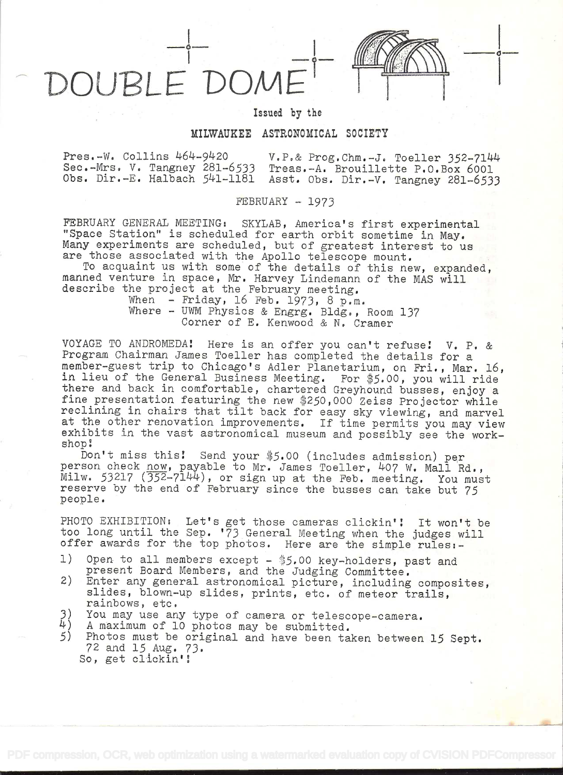OUBLE

i-

## Issued by the

## MILWAUKEE ASTRONOMICAL SOCIETY

Pres.-W. Collins 464-9420 v.P.& Prog.Chm.-J. Toeller 352-7144<br>Sec.-Mrs. V. Tangney 281-6533 Treas.-A. Brouillette P.O.Box 6001 Treas.-A. Brouillette P.O.Box 6001 Obs. Dir.-E. Halbach 541-1181 Asst. Obs. Dir.-V. Tangney 281-6533

FEBRUARY - 1973

FEBRUARY GENERAL MEETING: SKYLAB, America's first experimental "Space Station" is scheduled for earth orbit sometime in May. Many experiments are scheduled, but of greatest interest to us are those associated with the Apollo telescope mount.

To acquaint us with some of the details of this new, expanded, manned venture in space, Mr. Harvey Lindemann of the MAS will describe the project at the February meeting.

When - Friday, 16 Feb. 1973, 8 p.m. Where - UWM Physics & Engrg. Bldg., Room 137 Corner of E, Kenwood & N. Cramer

VOYAGE TO ANDROMEDA! Here is an offer you can't refuse! V. P. & Program Chairman James Toeller has completed the details for a member-guest trip to Chicago's Adler Planetarium, on Fri., Mar. 16, in lieu of the General Business Meeting. For \$5.00, you will ride there and back in comfortable, chartered Greyhound busses, enjoy a fine presentation featuring the new \$250,000 Zeiss Projector while reclining in chairs that tilt back for easy sky viewing, and marvel at the other renovation improvements. If time permits you may view exhibits in the vast astronomical museum and possibly see the workshop:

Don't miss this! Send your \$5.00 (includes admission) per person check now, payable to Mr. James Toeller, 407 W. Mall Rd.,  $\overline{M}$ ilw. 53217 ( $\overline{352}$ -7 $\overline{1}4\overline{4}$ ), or sign up at the Feb. meeting. You must reserve by the end of February since the busses can take but 75 people.

PHOTO EXHIBITION: Let's get those cameras clickin'! It won't be too long until the Sep. '73 General Meeting when the judges will offer awards for the top photos. Here are the simple rules:-

- 1) Open to all members except \$5.00 key-holders, past and present Board Members, and the Judging Committee.
- 2) Enter any general astronomical picture, including composites, slides, blown-up slides, prints, etc. of meteor trails, rainbows, etc.
- $3)$  You may use any type of camera or telescope-camera.<br>4) A maximum of 10 photos may be submitted
- $\begin{pmatrix} 1 \\ 4 \end{pmatrix}$  A maximum of 10 photos may be submitted.<br>5) Photos must be original and have been ta
- Photos must be original and have been taken between 15 Sept. 72 and 15Aug. 73. So, get clickin'